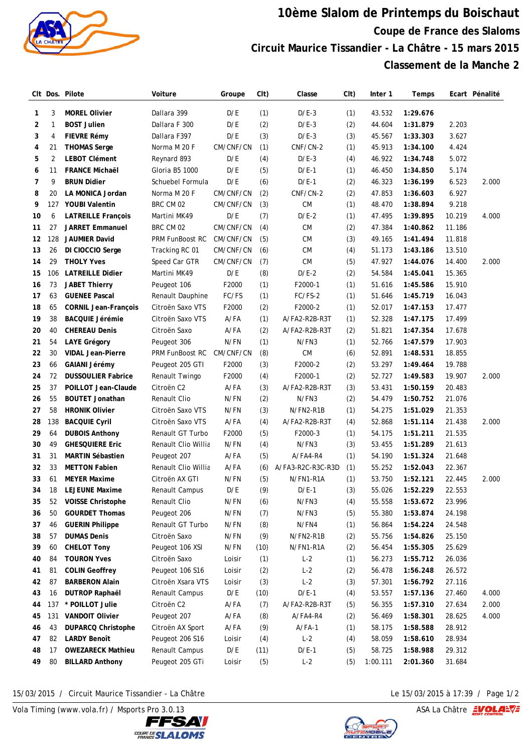

## **10ème Slalom de Printemps du Boischaut Coupe de France des Slaloms Circuit Maurice Tissandier - La Châtre - 15 mars 2015 Classement de la Manche 2**

|          |                | CIt Dos. Pilote                                  | Voiture                          | Groupe          | C <sub>I</sub> t) | Classe                 | (Clt) | Inter 1          | Temps                |                  | Ecart Pénalité |
|----------|----------------|--------------------------------------------------|----------------------------------|-----------------|-------------------|------------------------|-------|------------------|----------------------|------------------|----------------|
| 1        | 3              | <b>MOREL Olivier</b>                             | Dallara 399                      | D/E             | (1)               | $D/E-3$                | (1)   | 43.532           | 1:29.676             |                  |                |
| 2        | 1              | <b>BOST Julien</b>                               | Dallara F 300                    | D/E             | (2)               | $D/E-3$                | (2)   | 44.604           | 1:31.879             | 2.203            |                |
| 3        | 4              | <b>FIEVRE Rémy</b>                               | Dallara F397                     | D/E             | (3)               | $D/E-3$                | (3)   | 45.567           | 1:33.303             | 3.627            |                |
| 4        | 21             | <b>THOMAS Serge</b>                              | Norma M 20 F                     | CM/CNF/CN       | (1)               | CNF/CN-2               | (1)   | 45.913           | 1:34.100             | 4.424            |                |
| 5        | $\overline{2}$ | <b>LEBOT Clément</b>                             | Reynard 893                      | D/E             | (4)               | $D/E-3$                | (4)   | 46.922           | 1:34.748             | 5.072            |                |
| 6        | 11             | <b>FRANCE Michaël</b>                            | Gloria B5 1000                   | D/E             | (5)               | $D/E-1$                | (1)   | 46.450           | 1:34.850             | 5.174            |                |
| 7        | 9              | <b>BRUN Didier</b>                               | Schuebel Formula                 | D/E             | (6)               | $D/E-1$                | (2)   | 46.323           | 1:36.199             | 6.523            | 2.000          |
| 8        | 20             | LA MONICA Jordan                                 | Norma M 20 F                     | CM/CNF/CN       | (2)               | CNF/CN-2               | (2)   | 47.853           | 1:36.603             | 6.927            |                |
| 9        | 127            | <b>YOUBI Valentin</b>                            | BRC CM 02                        | CM/CNF/CN       | (3)               | <b>CM</b>              | (1)   | 48.470           | 1:38.894             | 9.218            |                |
| 10       | 6              | <b>LATREILLE François</b>                        | Martini MK49                     | D/E             | (7)               | $D/E-2$                | (1)   | 47.495           | 1:39.895             | 10.219           | 4.000          |
| 11       | 27             | <b>JARRET Emmanuel</b>                           | BRC CM 02                        | CM/CNF/CN       | (4)               | <b>CM</b>              | (2)   | 47.384           | 1:40.862             | 11.186           |                |
| 12       | 128            | <b>JAUMIER David</b>                             | <b>PRM FunBoost RC</b>           | CM/CNF/CN       | (5)               | <b>CM</b>              | (3)   | 49.165           | 1:41.494             | 11.818           |                |
| 13       | 26             | DI CIOCCIO Serge                                 | Tracking RC 01                   | CM/CNF/CN       | (6)               | <b>CM</b>              | (4)   | 51.173           | 1:43.186             | 13.510           |                |
| 14       | 29             | <b>THOLY Yves</b>                                | Speed Car GTR                    | CM/CNF/CN       | (7)               | <b>CM</b>              | (5)   | 47.927           | 1:44.076             | 14.400           | 2.000          |
| 15       | 106            | <b>LATREILLE Didier</b>                          | Martini MK49                     | D/E             | (8)               | $D/E-2$                | (2)   | 54.584           | 1:45.041             | 15.365           |                |
| 16       | 73             | <b>JABET Thierry</b>                             | Peugeot 106                      | F2000           | (1)               | F2000-1                | (1)   | 51.616           | 1:45.586             | 15.910           |                |
| 17       | 63             | <b>GUENEE Pascal</b>                             | Renault Dauphine                 | FC/FS           | (1)               | FC/FS-2                | (1)   | 51.646           | 1:45.719             | 16.043           |                |
| 18       | 65             | <b>CORNIL Jean-François</b>                      | Citroën Saxo VTS                 | F2000           | (2)               | F2000-2                | (1)   | 52.017           | 1:47.153             | 17.477           |                |
| 19       | 38             | <b>BACQUIE Jérémie</b>                           | Citroën Saxo VTS                 | A/FA            | (1)               | A/FA2-R2B-R3T          | (1)   | 52.328           | 1:47.175             | 17.499           |                |
| 20       | 40             | <b>CHEREAU Denis</b>                             | Citroën Saxo                     | $A$ /FA         |                   |                        |       | 51.821           | 1:47.354             | 17.678           |                |
| 21       | 54             |                                                  |                                  | N/FN            | (2)<br>(1)        | A/FA2-R2B-R3T<br>N/FN3 | (2)   | 52.766           |                      | 17.903           |                |
| 22       | 30             | <b>LAYE Grégory</b><br><b>VIDAL Jean-Pierre</b>  | Peugeot 306<br>PRM FunBoost RC   | CM/CNF/CN       | (8)               | <b>CM</b>              | (1)   | 52.891           | 1:47.579<br>1:48.531 | 18.855           |                |
| 23       | 66             | GAIANI Jérémy                                    |                                  | F2000           | (3)               | F2000-2                | (6)   | 53.297           | 1:49.464             | 19.788           |                |
| 24       | 72             | <b>DUSSOULIER Fabrice</b>                        | Peugeot 205 GTI                  | F2000           |                   | F2000-1                | (2)   | 52.727           | 1:49.583             | 19.907           | 2.000          |
|          | 37             |                                                  | Renault Twingo                   | $A$ /FA         | (4)               |                        | (2)   | 53.431           |                      |                  |                |
| 25       |                | POILLOT Jean-Claude                              | Citroën C2                       | N/FN            | (3)               | A/FA2-R2B-R3T<br>N/FN3 | (3)   |                  | 1:50.159             | 20.483           |                |
| 26<br>27 | 55<br>58       | <b>BOUTET Jonathan</b><br><b>HRONIK Olivier</b>  | Renault Clio<br>Citroën Saxo VTS | N/FN            | (2)               | N/FN2-R1B              | (2)   | 54.479<br>54.275 | 1:50.752<br>1:51.029 | 21.076           |                |
| 28       | 138            | <b>BACQUIE Cyril</b>                             | Citroën Saxo VTS                 | $A$ /FA         | (3)               | A/FA2-R2B-R3T          | (1)   | 52.868           | 1:51.114             | 21.353<br>21.438 | 2.000          |
| 29       | 64             |                                                  | Renault GT Turbo                 |                 | (4)               | F2000-3                | (4)   | 54.175           | 1:51.211             |                  |                |
| 30       | 49             | <b>DUBOIS Anthony</b><br><b>GHESQUIERE Eric</b>  | Renault Clio Willia              | F2000<br>N/FN   | (5)<br>(4)        | N/FN3                  | (1)   | 53.455           | 1:51.289             | 21.535<br>21.613 |                |
|          | 31             | <b>MARTIN Sébastien</b>                          | Peugeot 207                      | $A$ /FA         | (5)               | A/FA4-R4               | (3)   | 54.190           | 1:51.324             |                  |                |
| 31<br>32 | 33             | <b>METTON Fabien</b>                             | Renault Clio Willia              | A/FA            | (6)               | A/FA3-R2C-R3C-R3D      | (1)   | 55.252           |                      | 21.648<br>22.367 |                |
| 33       | 61             | <b>MEYER Maxime</b>                              |                                  | N/FN            | (5)               | N/FN1-R1A              | (1)   | 53.750           | 1:52.043<br>1:52.121 | 22.445           | 2.000          |
| 34       | 18             | <b>LEJEUNE Maxime</b>                            | Citroën AX GTI<br>Renault Campus | D/E             | (9)               | $D/E-1$                | (1)   | 55.026           | 1:52.229             | 22.553           |                |
| 35       | 52             | <b>VOISSE Christophe</b>                         | Renault Clio                     | N/FN            | (6)               | N/FN3                  | (3)   | 55.558           | 1:53.672             | 23.996           |                |
| 36       | 50             | <b>GOURDET Thomas</b>                            |                                  | N/FN            |                   | N/FN3                  | (4)   | 55.380           | 1:53.874             | 24.198           |                |
| 37       | 46             |                                                  | Peugeot 206                      | N/FN            | (7)               | N/FN4                  | (5)   | 56.864           | 1:54.224             | 24.548           |                |
| 38       | 57             | <b>GUERIN Philippe</b><br><b>DUMAS Denis</b>     | Renault GT Turbo<br>Citroën Saxo | N/FN            | (8)               |                        | (1)   |                  |                      | 25.150           |                |
| 39       | 60             | <b>CHELOT Tony</b>                               | Peugeot 106 XSI                  | N/FN            | (9)               | N/FN2-R1B              | (2)   | 55.756           | 1:54.826             | 25.629           |                |
| 40       | 84             | <b>TOURON Yves</b>                               | Citroën Saxo                     |                 | (10)              | N/FN1-R1A<br>$L-2$     | (2)   | 56.454           | 1:55.305<br>1:55.712 |                  |                |
|          | 81             | <b>COLIN Geoffrey</b>                            | Peugeot 106 S16                  | Loisir          | (1)               |                        | (1)   | 56.273<br>56.478 | 1:56.248             | 26.036           |                |
| 41<br>42 | 87             | <b>BARBERON Alain</b>                            | Citroën Xsara VTS                | Loisir          | (2)               | $L-2$<br>$L-2$         | (2)   | 57.301           |                      | 26.572           |                |
| 43       |                |                                                  |                                  | Loisir          | (3)               |                        | (3)   | 53.557           | 1:56.792             | 27.116<br>27.460 | 4.000          |
|          | 16             | <b>DUTROP Raphaël</b>                            | Renault Campus                   | D/E             | (10)              | $D/E-1$                | (4)   |                  | 1:57.136             |                  |                |
| 44<br>45 | 137            | * POILLOT Julie                                  | Citroën C2                       | A/FA            | (7)               | A/FA2-R2B-R3T          | (5)   | 56.355           | 1:57.310             | 27.634           | 2.000          |
| 46       | 131<br>43      | <b>VANDOIT Olivier</b>                           | Peugeot 207                      | A/FA<br>$A$ /FA | (8)<br>(9)        | A/FA4-R4<br>$A/FA-1$   | (2)   | 56.469           | 1:58.301             | 28.625           | 4.000          |
|          | 82             | <b>DUPARCQ Christophe</b><br><b>LARDY Benoît</b> | Citroën AX Sport                 |                 |                   |                        | (1)   | 58.175           | 1:58.588             | 28.912           |                |
| 47       |                |                                                  | Peugeot 206 S16                  | Loisir          | (4)               | $L-2$                  | (4)   | 58.059           | 1:58.610             | 28.934           |                |
| 48       | 17             | <b>OWEZARECK Mathieu</b>                         | Renault Campus                   | D/E             | (11)              | $D/E-1$                | (5)   | 58.725           | 1:58.988             | 29.312           |                |
| 49       | 80             | <b>BILLARD Anthony</b>                           | Peugeot 205 GTi                  | Loisir          | (5)               | $L-2$                  | (5)   | 1:00.111         | 2:01.360             | 31.684           |                |

15/03/2015 / Circuit Maurice Tissandier - La Châtre Le 15/03/2015 à 17:39 / Page 1/2

Vola Timing (www.vola.fr) / Msports Pro 3.0.13  $\sqrt{2}$  Vola Timing (www.vola.fr) / Msports Pro 3.0.13